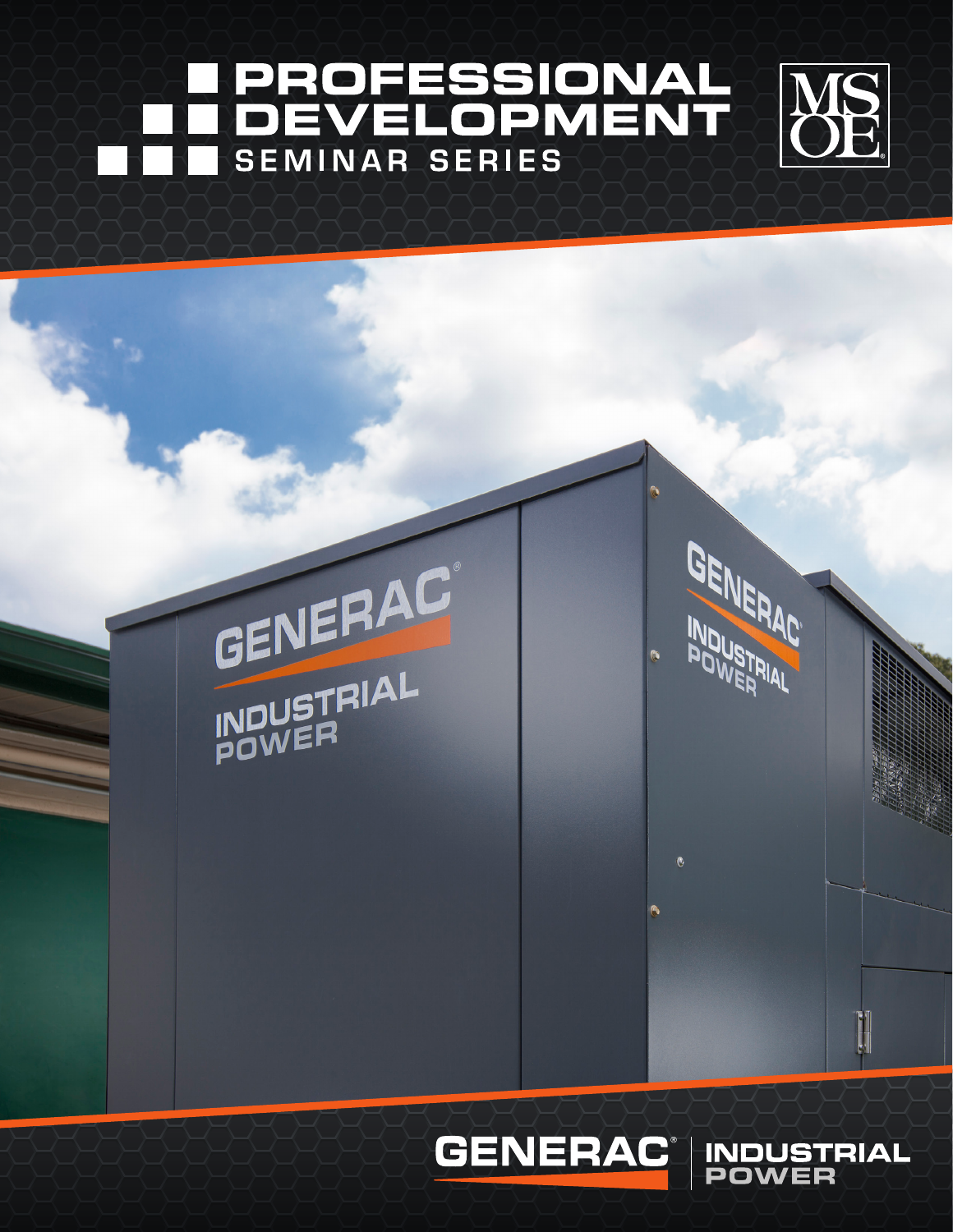# **PROFESSIONAL<br>DEVELOPMENT SEMINAR SERIES**







**INDUSTRIAL**<br>POWER

GENERAC

INDUSTRIAL

 $\ddot{\mathbf{a}}$ 

 $\langle \hat{n} \rangle$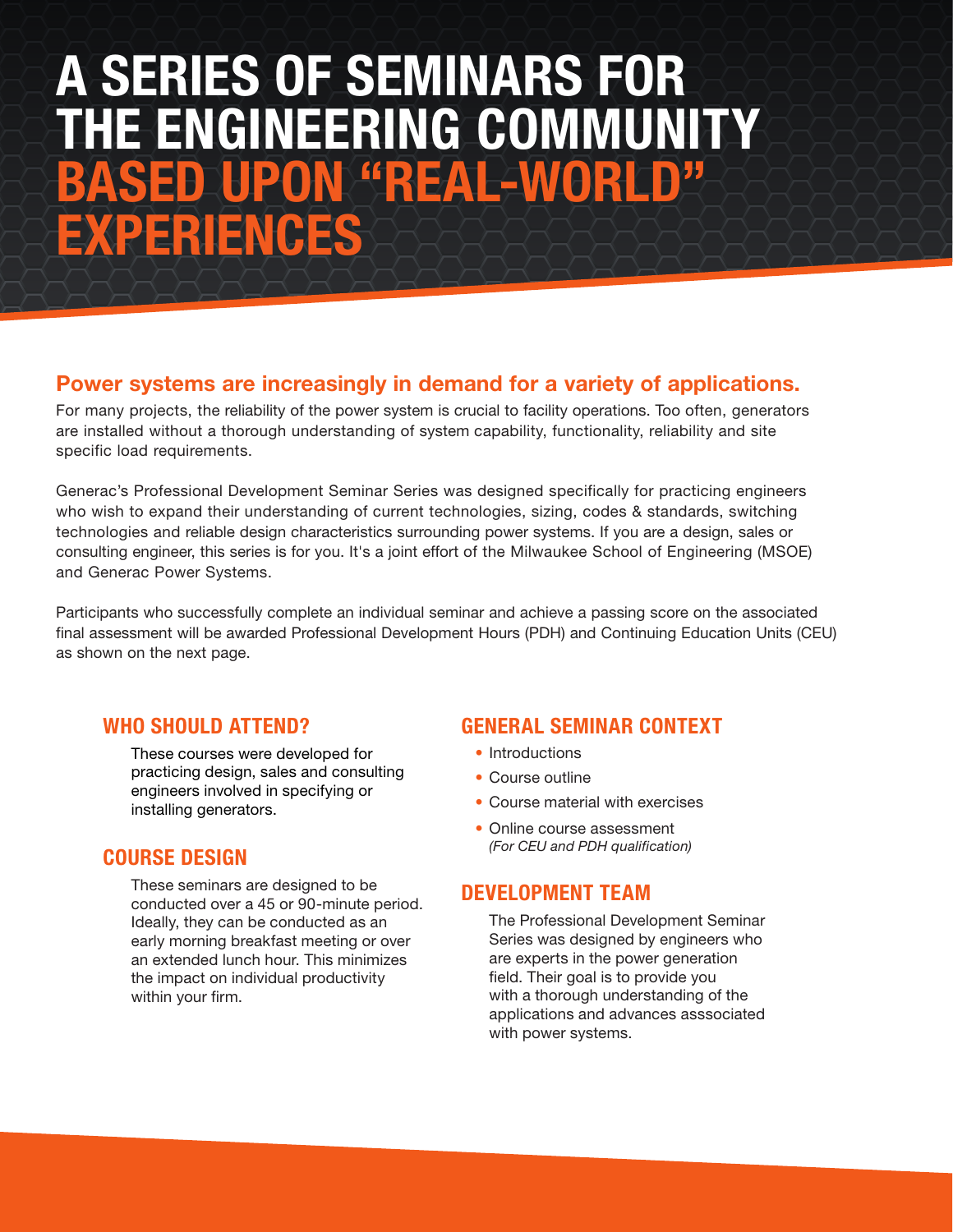# A SERIES OF SEMINARS FOR THE ENGINEERING COMMUNITY UPON "REAL-WORLD" EXPERIENCES

# Power systems are increasingly in demand for a variety of applications.

For many projects, the reliability of the power system is crucial to facility operations. Too often, generators are installed without a thorough understanding of system capability, functionality, reliability and site specific load requirements.

Generac's Professional Development Seminar Series was designed specifically for practicing engineers who wish to expand their understanding of current technologies, sizing, codes & standards, switching technologies and reliable design characteristics surrounding power systems. If you are a design, sales or consulting engineer, this series is for you. It's a joint effort of the Milwaukee School of Engineering (MSOE) and Generac Power Systems.

Participants who successfully complete an individual seminar and achieve a passing score on the associated final assessment will be awarded Professional Development Hours (PDH) and Continuing Education Units (CEU) as shown on the next page.

# WHO SHOULD ATTEND?

These courses were developed for practicing design, sales and consulting engineers involved in specifying or installing generators.

# COURSE DESIGN

These seminars are designed to be conducted over a 45 or 90-minute period. Ideally, they can be conducted as an early morning breakfast meeting or over an extended lunch hour. This minimizes the impact on individual productivity within your firm.

# GENERAL SEMINAR CONTEXT

- Introductions
- Course outline
- Course material with exercises
- Online course assessment *(For CEU and PDH qualification)*

# DEVELOPMENT TEAM

The Professional Development Seminar Series was designed by engineers who are experts in the power generation field. Their goal is to provide you with a thorough understanding of the applications and advances asssociated with power systems.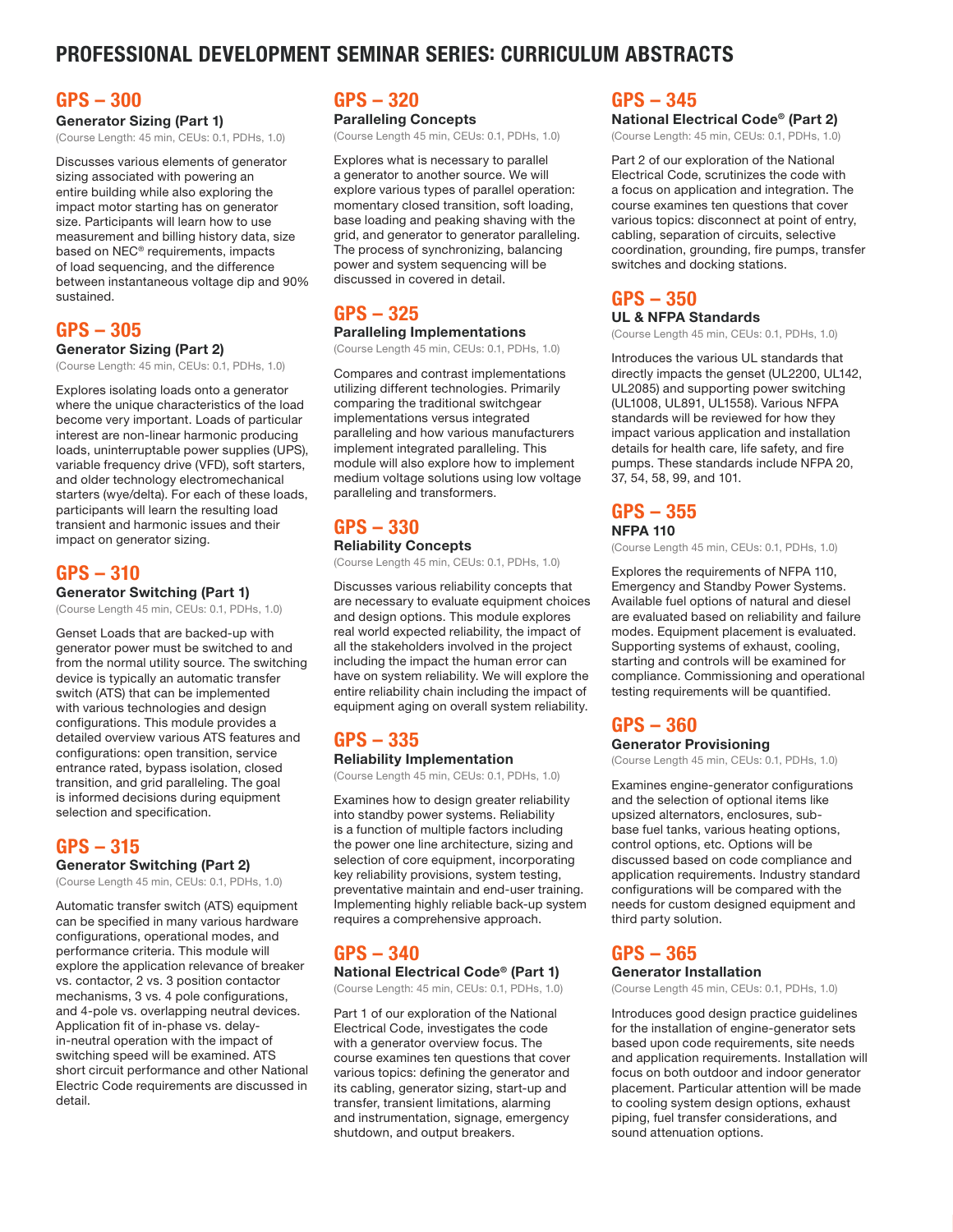# PROFESSIONAL DEVELOPMENT SEMINAR SERIES: CURRICULUM ABSTRACTS

## GPS – 300

Generator Sizing (Part 1) (Course Length: 45 min, CEUs: 0.1, PDHs, 1.0)

Discusses various elements of generator sizing associated with powering an entire building while also exploring the impact motor starting has on generator size. Participants will learn how to use measurement and billing history data, size based on NEC® requirements, impacts of load sequencing, and the difference between instantaneous voltage dip and 90% sustained.

## GPS – 305

#### Generator Sizing (Part 2)

(Course Length: 45 min, CEUs: 0.1, PDHs, 1.0)

Explores isolating loads onto a generator where the unique characteristics of the load become very important. Loads of particular interest are non-linear harmonic producing loads, uninterruptable power supplies (UPS), variable frequency drive (VFD), soft starters, and older technology electromechanical starters (wye/delta). For each of these loads, participants will learn the resulting load transient and harmonic issues and their impact on generator sizing.

## GPS – 310

Generator Switching (Part 1)

(Course Length 45 min, CEUs: 0.1, PDHs, 1.0)

Genset Loads that are backed-up with generator power must be switched to and from the normal utility source. The switching device is typically an automatic transfer switch (ATS) that can be implemented with various technologies and design configurations. This module provides a detailed overview various ATS features and configurations: open transition, service entrance rated, bypass isolation, closed transition, and grid paralleling. The goal is informed decisions during equipment selection and specification.

## GPS – 315 Generator Switching (Part 2)

(Course Length 45 min, CEUs: 0.1, PDHs, 1.0)

Automatic transfer switch (ATS) equipment can be specified in many various hardware configurations, operational modes, and performance criteria. This module will explore the application relevance of breaker vs. contactor, 2 vs. 3 position contactor mechanisms, 3 vs. 4 pole configurations, and 4-pole vs. overlapping neutral devices. Application fit of in-phase vs. delayin-neutral operation with the impact of switching speed will be examined. ATS short circuit performance and other National Electric Code requirements are discussed in detail.

# GPS – 320

Paralleling Concepts (Course Length 45 min, CEUs: 0.1, PDHs, 1.0)

Explores what is necessary to parallel a generator to another source. We will explore various types of parallel operation: momentary closed transition, soft loading, base loading and peaking shaving with the grid, and generator to generator paralleling. The process of synchronizing, balancing power and system sequencing will be discussed in covered in detail.

# GPS – 325

Paralleling Implementations (Course Length 45 min, CEUs: 0.1, PDHs, 1.0)

Compares and contrast implementations utilizing different technologies. Primarily comparing the traditional switchgear implementations versus integrated paralleling and how various manufacturers implement integrated paralleling. This module will also explore how to implement medium voltage solutions using low voltage paralleling and transformers.

### GPS – 330 Reliability Concepts

(Course Length 45 min, CEUs: 0.1, PDHs, 1.0)

Discusses various reliability concepts that are necessary to evaluate equipment choices and design options. This module explores real world expected reliability, the impact of all the stakeholders involved in the project including the impact the human error can have on system reliability. We will explore the entire reliability chain including the impact of equipment aging on overall system reliability.

## GPS – 335 Reliability Implementation

(Course Length 45 min, CEUs: 0.1, PDHs, 1.0)

Examines how to design greater reliability into standby power systems. Reliability is a function of multiple factors including the power one line architecture, sizing and selection of core equipment, incorporating key reliability provisions, system testing, preventative maintain and end-user training. Implementing highly reliable back-up system requires a comprehensive approach.

# GPS – 340

National Electrical Code® (Part 1)

(Course Length: 45 min, CEUs: 0.1, PDHs, 1.0)

Part 1 of our exploration of the National Electrical Code, investigates the code with a generator overview focus. The course examines ten questions that cover various topics: defining the generator and its cabling, generator sizing, start-up and transfer, transient limitations, alarming and instrumentation, signage, emergency shutdown, and output breakers.

## GPS – 345

National Electrical Code® (Part 2)

(Course Length: 45 min, CEUs: 0.1, PDHs, 1.0)

Part 2 of our exploration of the National Electrical Code, scrutinizes the code with a focus on application and integration. The course examines ten questions that cover various topics: disconnect at point of entry, cabling, separation of circuits, selective coordination, grounding, fire pumps, transfer switches and docking stations.

# GPS – 350

### UL & NFPA Standards

(Course Length 45 min, CEUs: 0.1, PDHs, 1.0)

Introduces the various UL standards that directly impacts the genset (UL2200, UL142, UL2085) and supporting power switching (UL1008, UL891, UL1558). Various NFPA standards will be reviewed for how they impact various application and installation details for health care, life safety, and fire pumps. These standards include NFPA 20, 37, 54, 58, 99, and 101.

# GPS – 355

NFPA 110

(Course Length 45 min, CEUs: 0.1, PDHs, 1.0)

Explores the requirements of NFPA 110, Emergency and Standby Power Systems. Available fuel options of natural and diesel are evaluated based on reliability and failure modes. Equipment placement is evaluated. Supporting systems of exhaust, cooling, starting and controls will be examined for compliance. Commissioning and operational testing requirements will be quantified.

# GPS – 360

Generator Provisioning

(Course Length 45 min, CEUs: 0.1, PDHs, 1.0)

Examines engine-generator configurations and the selection of optional items like upsized alternators, enclosures, subbase fuel tanks, various heating options, control options, etc. Options will be discussed based on code compliance and application requirements. Industry standard configurations will be compared with the needs for custom designed equipment and third party solution.

# GPS – 365

#### Generator Installation

(Course Length 45 min, CEUs: 0.1, PDHs, 1.0)

Introduces good design practice guidelines for the installation of engine-generator sets based upon code requirements, site needs and application requirements. Installation will focus on both outdoor and indoor generator placement. Particular attention will be made to cooling system design options, exhaust piping, fuel transfer considerations, and sound attenuation options.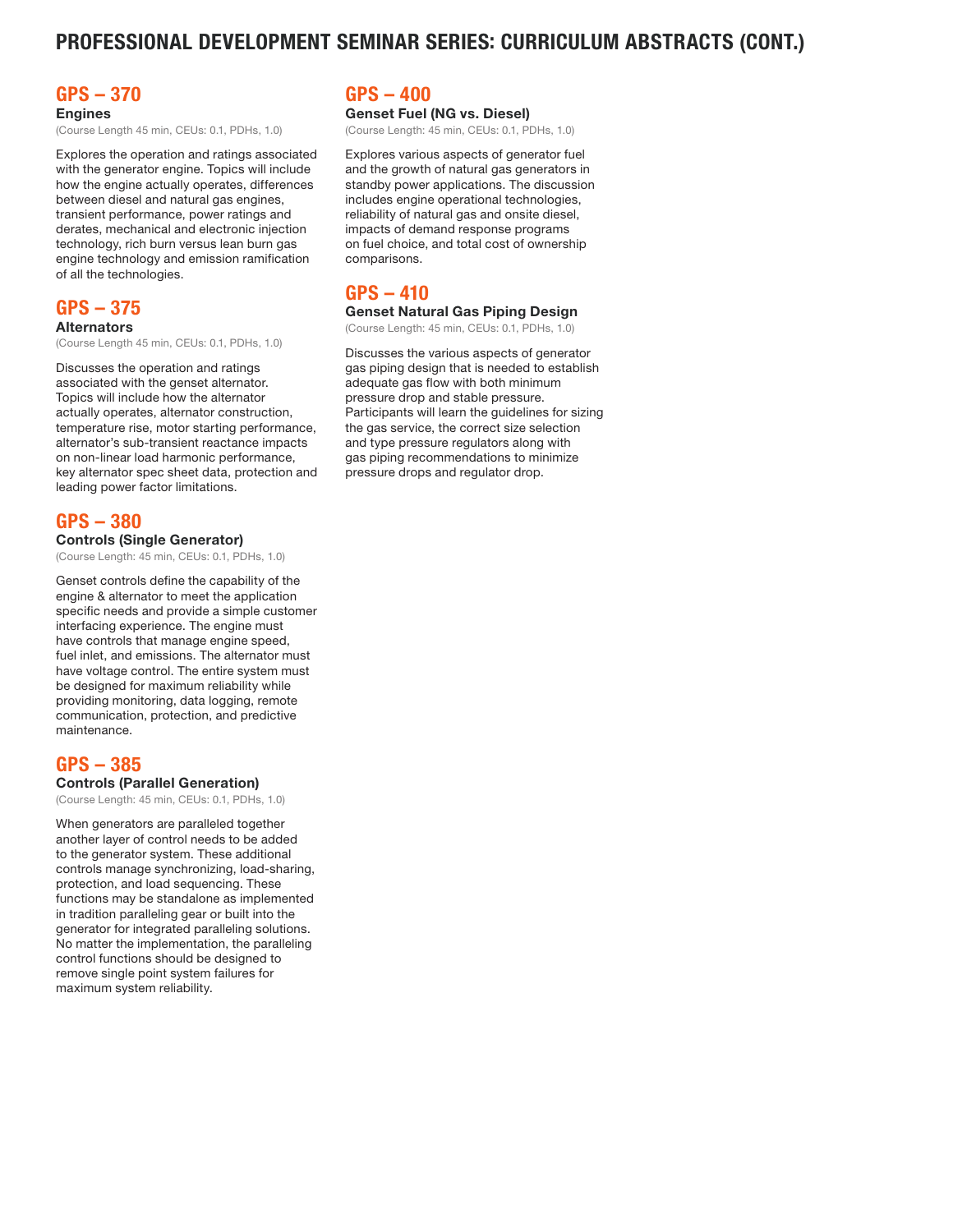# PROFESSIONAL DEVELOPMENT SEMINAR SERIES: CURRICULUM ABSTRACTS (CONT.)

# GPS – 370

Engines

(Course Length 45 min, CEUs: 0.1, PDHs, 1.0)

Explores the operation and ratings associated with the generator engine. Topics will include how the engine actually operates, differences between diesel and natural gas engines, transient performance, power ratings and derates, mechanical and electronic injection technology, rich burn versus lean burn gas engine technology and emission ramification of all the technologies.

### GPS – 375 **Alternators**

(Course Length 45 min, CEUs: 0.1, PDHs, 1.0)

Discusses the operation and ratings associated with the genset alternator. Topics will include how the alternator actually operates, alternator construction, temperature rise, motor starting performance, alternator's sub-transient reactance impacts on non-linear load harmonic performance, key alternator spec sheet data, protection and leading power factor limitations.

## GPS – 380 Controls (Single Generator)

(Course Length: 45 min, CEUs: 0.1, PDHs, 1.0)

Genset controls define the capability of the engine & alternator to meet the application specific needs and provide a simple customer interfacing experience. The engine must have controls that manage engine speed, fuel inlet, and emissions. The alternator must have voltage control. The entire system must be designed for maximum reliability while providing monitoring, data logging, remote communication, protection, and predictive maintenance.

# GPS – 385

#### Controls (Parallel Generation)

(Course Length: 45 min, CEUs: 0.1, PDHs, 1.0)

When generators are paralleled together another layer of control needs to be added to the generator system. These additional controls manage synchronizing, load-sharing, protection, and load sequencing. These functions may be standalone as implemented in tradition paralleling gear or built into the generator for integrated paralleling solutions. No matter the implementation, the paralleling control functions should be designed to remove single point system failures for maximum system reliability.

## GPS – 400

### Genset Fuel (NG vs. Diesel)

(Course Length: 45 min, CEUs: 0.1, PDHs, 1.0)

Explores various aspects of generator fuel and the growth of natural gas generators in standby power applications. The discussion includes engine operational technologies, reliability of natural gas and onsite diesel, impacts of demand response programs on fuel choice, and total cost of ownership comparisons.

# GPS – 410

#### Genset Natural Gas Piping Design

(Course Length: 45 min, CEUs: 0.1, PDHs, 1.0)

Discusses the various aspects of generator gas piping design that is needed to establish adequate gas flow with both minimum pressure drop and stable pressure. Participants will learn the guidelines for sizing the gas service, the correct size selection and type pressure regulators along with gas piping recommendations to minimize pressure drops and regulator drop.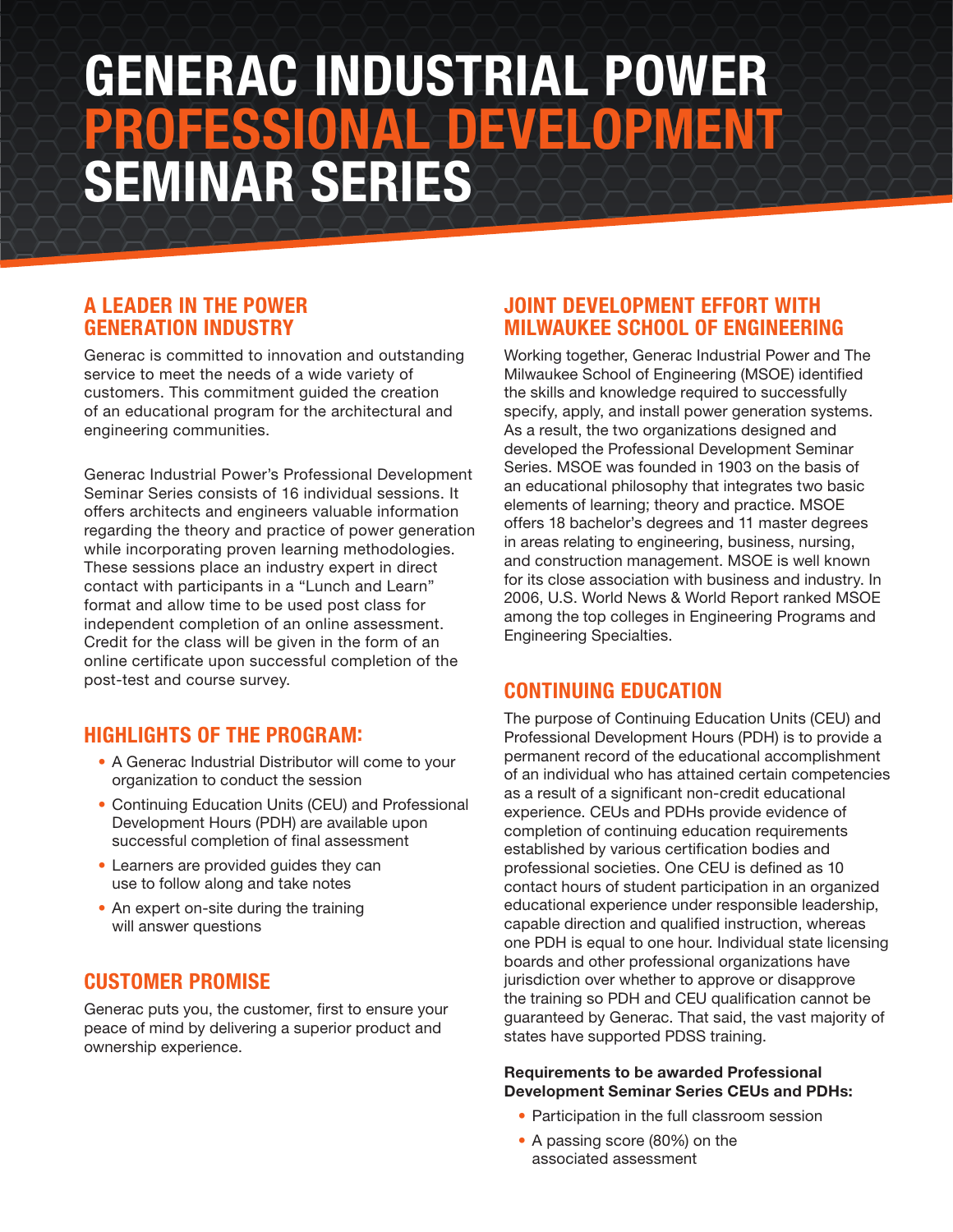# GENERAC INDUSTRIAL POWER PROFESSIONAL DEVELOPMENT SEMINAR SERIES

# A LEADER IN THE POWER GENERATION INDUSTRY

Generac is committed to innovation and outstanding service to meet the needs of a wide variety of customers. This commitment guided the creation of an educational program for the architectural and engineering communities.

Generac Industrial Power's Professional Development Seminar Series consists of 16 individual sessions. It offers architects and engineers valuable information regarding the theory and practice of power generation while incorporating proven learning methodologies. These sessions place an industry expert in direct contact with participants in a "Lunch and Learn" format and allow time to be used post class for independent completion of an online assessment. Credit for the class will be given in the form of an online certificate upon successful completion of the post-test and course survey.

# HIGHLIGHTS OF THE PROGRAM:

- A Generac Industrial Distributor will come to your organization to conduct the session
- Continuing Education Units (CEU) and Professional Development Hours (PDH) are available upon successful completion of final assessment
- Learners are provided guides they can use to follow along and take notes
- An expert on-site during the training will answer questions

# CUSTOMER PROMISE

Generac puts you, the customer, first to ensure your peace of mind by delivering a superior product and ownership experience.

# JOINT DEVELOPMENT EFFORT WITH MILWAUKEE SCHOOL OF ENGINEERING

Working together, Generac Industrial Power and The Milwaukee School of Engineering (MSOE) identified the skills and knowledge required to successfully specify, apply, and install power generation systems. As a result, the two organizations designed and developed the Professional Development Seminar Series. MSOE was founded in 1903 on the basis of an educational philosophy that integrates two basic elements of learning; theory and practice. MSOE offers 18 bachelor's degrees and 11 master degrees in areas relating to engineering, business, nursing, and construction management. MSOE is well known for its close association with business and industry. In 2006, U.S. World News & World Report ranked MSOE among the top colleges in Engineering Programs and Engineering Specialties.

# CONTINUING EDUCATION

The purpose of Continuing Education Units (CEU) and Professional Development Hours (PDH) is to provide a permanent record of the educational accomplishment of an individual who has attained certain competencies as a result of a significant non-credit educational experience. CEUs and PDHs provide evidence of completion of continuing education requirements established by various certification bodies and professional societies. One CEU is defined as 10 contact hours of student participation in an organized educational experience under responsible leadership, capable direction and qualified instruction, whereas one PDH is equal to one hour. Individual state licensing boards and other professional organizations have jurisdiction over whether to approve or disapprove the training so PDH and CEU qualification cannot be guaranteed by Generac. That said, the vast majority of states have supported PDSS training.

## Requirements to be awarded Professional Development Seminar Series CEUs and PDHs:

- Participation in the full classroom session
- A passing score (80%) on the associated assessment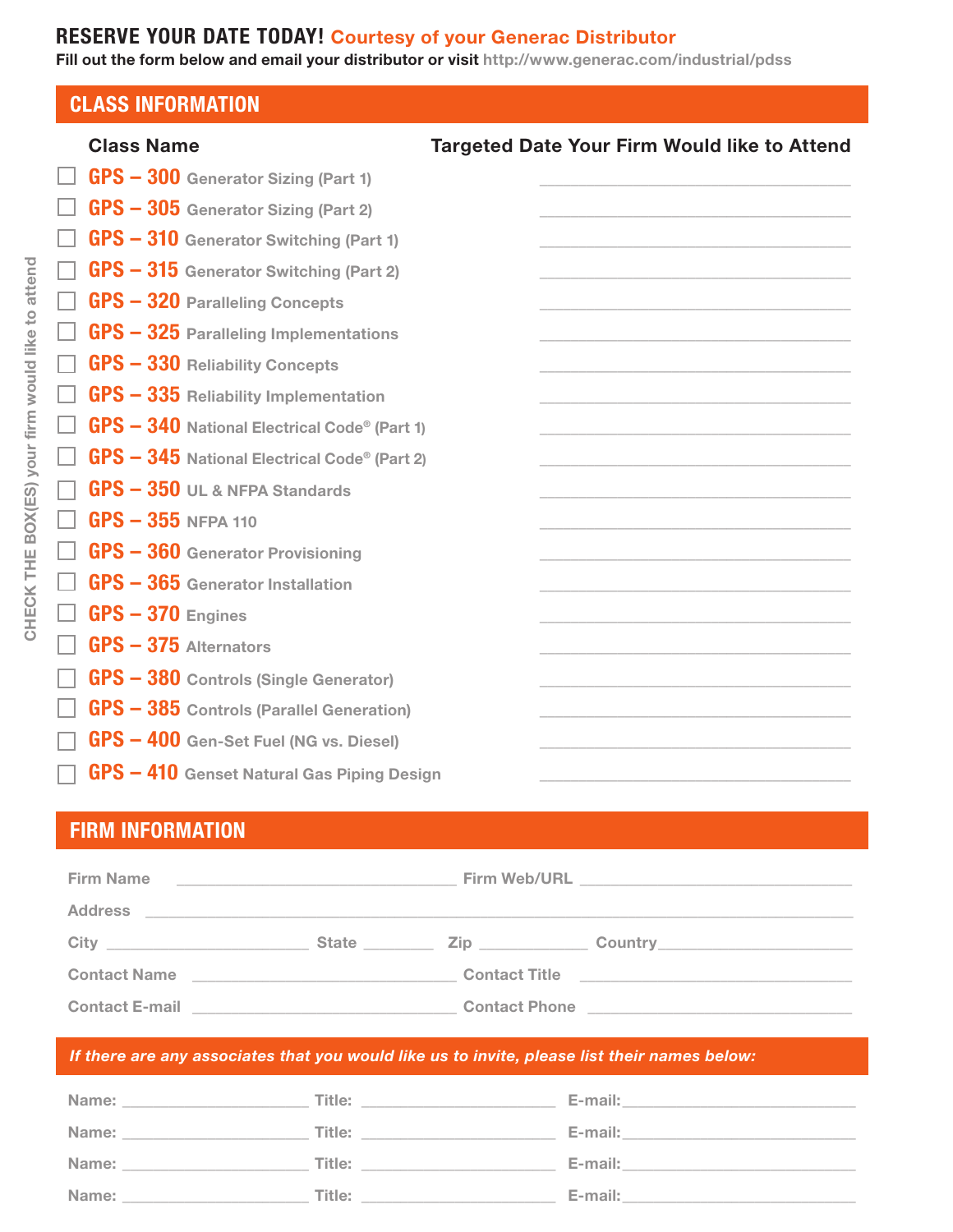# RESERVE YOUR DATE TODAY! Courtesy of your Generac Distributor

Fill out the form below and email your distributor or visit http://www.generac.com/industrial/pdss

| <b>CLASS INFORMATION</b>                            |                                                     |
|-----------------------------------------------------|-----------------------------------------------------|
| <b>Class Name</b>                                   | <b>Targeted Date Your Firm Would like to Attend</b> |
| <b>GPS - 300 Generator Sizing (Part 1)</b>          |                                                     |
| $GPS - 305$ Generator Sizing (Part 2)               |                                                     |
| <b>GPS - 310 Generator Switching (Part 1)</b>       |                                                     |
| <b>GPS - 315 Generator Switching (Part 2)</b>       |                                                     |
| <b>GPS - 320 Paralleling Concepts</b>               |                                                     |
| <b>GPS - 325 Paralleling Implementations</b>        |                                                     |
| <b>GPS - 330 Reliability Concepts</b>               |                                                     |
| <b>GPS - 335 Reliability Implementation</b>         |                                                     |
| <b>GPS - 340 National Electrical Code® (Part 1)</b> |                                                     |
| <b>GPS - 345 National Electrical Code® (Part 2)</b> |                                                     |
| <b>GPS - 350 UL &amp; NFPA Standards</b>            |                                                     |
| $GPS - 355$ NFPA 110                                |                                                     |
| GPS - 360 Generator Provisioning                    |                                                     |
| <b>GPS - 365</b> Generator Installation             |                                                     |
| $GPS - 370$ Engines                                 |                                                     |
| $GPS - 375$ Alternators                             |                                                     |
| <b>GPS - 380 Controls (Single Generator)</b>        |                                                     |
| <b>GPS - 385 Controls (Parallel Generation)</b>     |                                                     |
| <b>GPS - 400 Gen-Set Fuel (NG vs. Diesel)</b>       |                                                     |
| GPS - 410 Genset Natural Gas Piping Design          |                                                     |

# FIRM INFORMATION

| <b>Firm Name</b>                                                                                              | <u> 1989 - Johann Harry Harry Harry Harry Harry Harry Harry Harry Harry Harry Harry Harry Harry Harry Harry Harry</u> |                      |                                                |
|---------------------------------------------------------------------------------------------------------------|-----------------------------------------------------------------------------------------------------------------------|----------------------|------------------------------------------------|
| <b>Address</b>                                                                                                |                                                                                                                       |                      |                                                |
| City<br><u> 1980 - Jan Alexandria (h. 1980).</u>                                                              |                                                                                                                       | State <b>Zip</b>     |                                                |
| <b>Contact Name</b>                                                                                           |                                                                                                                       |                      | Contact Title <u>_________________________</u> |
| Contact E-mail 2008 2010 2021 2022 2023 2024 2022 2022 2023 2024 2022 2023 2024 2022 2023 2024 2025 2026 2027 |                                                                                                                       | <b>Contact Phone</b> |                                                |

# *If there are any associates that you would like us to invite, please list their names below:*

| Name:                                                                                                                                                                                                                         | Title:                    | E-mail:                                                                                                                                                                                                                            |
|-------------------------------------------------------------------------------------------------------------------------------------------------------------------------------------------------------------------------------|---------------------------|------------------------------------------------------------------------------------------------------------------------------------------------------------------------------------------------------------------------------------|
| Name:                                                                                                                                                                                                                         | Title: __________________ | E-mail:                                                                                                                                                                                                                            |
| Name: and the state of the state of the state of the state of the state of the state of the state of the state of the state of the state of the state of the state of the state of the state of the state of the state of the | <b>Title:</b>             | <b>E-mail:</b> The contract of the contract of the contract of the contract of the contract of the contract of the contract of the contract of the contract of the contract of the contract of the contract of the contract of the |
| Name:                                                                                                                                                                                                                         | <b>Title:</b>             | <b>E-mail:</b> The contract of the contract of the contract of the contract of the contract of the contract of the contract of the contract of the contract of the contract of the contract of the contract of the contract of the |